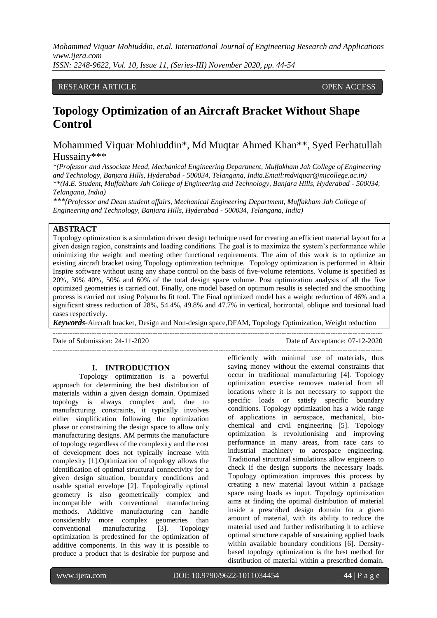## RESEARCH ARTICLE **CONSERVERS** OPEN ACCESS

# **Topology Optimization of an Aircraft Bracket Without Shape Control**

## Mohammed Viquar Mohiuddin\*, Md Muqtar Ahmed Khan\*\*, Syed Ferhatullah Hussainy\*\*\*

*\*(Professor and Associate Head, Mechanical Engineering Department, Muffakham Jah College of Engineering and Technology, Banjara Hills, Hyderabad - 500034, Telangana, India.Email:mdviquar@mjcollege.ac.in) \*\*(M.E. Student, Muffakham Jah College of Engineering and Technology, Banjara Hills, Hyderabad - 500034, Telangana, India)*

*\*\*\*(Professor and Dean student affairs, Mechanical Engineering Department, Muffakham Jah College of Engineering and Technology, Banjara Hills, Hyderabad - 500034, Telangana, India)*

## **ABSTRACT**

Topology optimization is a simulation driven design technique used for creating an efficient material layout for a given design region, constraints and loading conditions. The goal is to maximize the system's performance while minimizing the weight and meeting other functional requirements. The aim of this work is to optimize an existing aircraft bracket using Topology optimization technique. Topology optimization is performed in Altair Inspire software without using any shape control on the basis of five-volume retentions. Volume is specified as 20%, 30% 40%, 50% and 60% of the total design space volume. Post optimization analysis of all the five optimized geometries is carried out. Finally, one model based on optimum results is selected and the smoothing process is carried out using Polynurbs fit tool. The Final optimized model has a weight reduction of 46% and a significant stress reduction of 28%, 54.4%, 49.8% and 47.7% in vertical, horizontal, oblique and torsional load cases respectively.

*Keywords***-**Aircraft bracket, Design and Non-design space,DFAM, Topology Optimization, Weight reduction

---------------------------------------------------------------------------------------------------------------------------------------

---------------------------------------------------------------------------------------------------------------------------------------

Date of Submission: 24-11-2020 Date of Acceptance: 07-12-2020

#### **I. INTRODUCTION**

Topology optimization is a powerful approach for determining the best distribution of materials within a given design domain. Optimized topology is always complex and, due to manufacturing constraints, it typically involves either simplification following the optimization phase or constraining the design space to allow only manufacturing designs. AM permits the manufacture of topology regardless of the complexity and the cost of development does not typically increase with complexity [1].Optimization of topology allows the identification of optimal structural connectivity for a given design situation, boundary conditions and usable spatial envelope [2]. Topologically optimal geometry is also geometrically complex and incompatible with conventional manufacturing methods. Additive manufacturing can handle considerably more complex geometries than conventional manufacturing [3]. Topology optimization is predestined for the optimization of additive components. In this way it is possible to produce a product that is desirable for purpose and

efficiently with minimal use of materials, thus saving money without the external constraints that occur in traditional manufacturing [4]. Topology optimization exercise removes material from all locations where it is not necessary to support the specific loads or satisfy specific boundary conditions. Topology optimization has a wide range of applications in aerospace, mechanical, biochemical and civil engineering [5]. Topology optimization is revolutionising and improving performance in many areas, from race cars to industrial machinery to aerospace engineering. Traditional structural simulations allow engineers to check if the design supports the necessary loads. Topology optimization improves this process by creating a new material layout within a package space using loads as input. Topology optimization aims at finding the optimal distribution of material inside a prescribed design domain for a given amount of material, with its ability to reduce the material used and further redistributing it to achieve optimal structure capable of sustaining applied loads within available boundary conditions [6]. Densitybased topology optimization is the best method for distribution of material within a prescribed domain.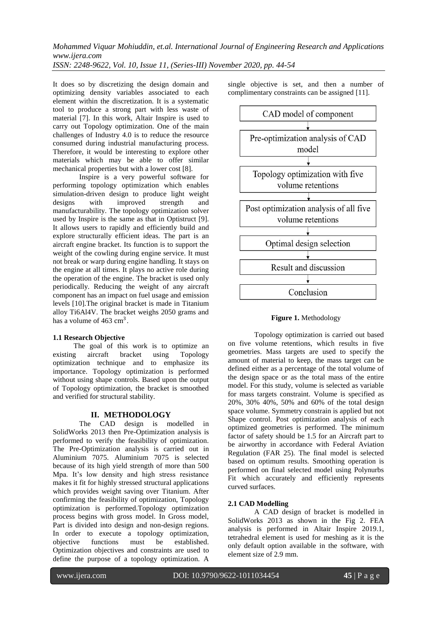It does so by discretizing the design domain and optimizing density variables associated to each element within the discretization. It is a systematic tool to produce a strong part with less waste of material [7]. In this work, Altair Inspire is used to carry out Topology optimization. One of the main challenges of Industry 4.0 is to reduce the resource consumed during industrial manufacturing process. Therefore, it would be interesting to explore other materials which may be able to offer similar mechanical properties but with a lower cost [8].

Inspire is a very powerful software for performing topology optimization which enables simulation-driven design to produce light weight<br>designs with improved strength and designs with improved strength and manufacturability. The topology optimization solver used by Inspire is the same as that in Optistruct [9]. It allows users to rapidly and efficiently build and explore structurally efficient ideas. The part is an aircraft engine bracket. Its function is to support the weight of the cowling during engine service. It must not break or warp during engine handling. It stays on the engine at all times. It plays no active role during the operation of the engine. The bracket is used only periodically. Reducing the weight of any aircraft component has an impact on fuel usage and emission levels [10].The original bracket is made in Titanium alloy Ti6Al4V. The bracket weighs 2050 grams and has a volume of  $463 \text{ cm}^3$ .

#### **1.1 Research Objective**

The goal of this work is to optimize an existing aircraft bracket using Topology optimization technique and to emphasize its importance. Topology optimization is performed without using shape controls. Based upon the output of Topology optimization, the bracket is smoothed and verified for structural stability.

#### **II. METHODOLOGY**

The CAD design is modelled in SolidWorks 2013 then Pre-Optimization analysis is performed to verify the feasibility of optimization. The Pre-Optimization analysis is carried out in Aluminium 7075. Aluminium 7075 is selected because of its high yield strength of more than 500 Mpa. It's low density and high stress resistance makes it fit for highly stressed structural applications which provides weight saving over Titanium. After confirming the feasibility of optimization, Topology optimization is performed.Topology optimization process begins with gross model. In Gross model, Part is divided into design and non-design regions. In order to execute a topology optimization, objective functions must be established. Optimization objectives and constraints are used to define the purpose of a topology optimization. A

single objective is set, and then a number of complimentary constraints can be assigned [11].



## **Figure 1.** Methodology

Topology optimization is carried out based on five volume retentions, which results in five geometries. Mass targets are used to specify the amount of material to keep, the mass target can be defined either as a percentage of the total volume of the design space or as the total mass of the entire model. For this study, volume is selected as variable for mass targets constraint. Volume is specified as 20%, 30% 40%, 50% and 60% of the total design space volume. Symmetry constrain is applied but not Shape control. Post optimization analysis of each optimized geometries is performed. The minimum factor of safety should be 1.5 for an Aircraft part to be airworthy in accordance with Federal Aviation Regulation (FAR 25). The final model is selected based on optimum results. Smoothing operation is performed on final selected model using Polynurbs Fit which accurately and efficiently represents curved surfaces.

## **2.1 CAD Modelling**

A CAD design of bracket is modelled in SolidWorks 2013 as shown in the Fig 2. FEA analysis is performed in Altair Inspire 2019.1, tetrahedral element is used for meshing as it is the only default option available in the software, with element size of 2.9 mm.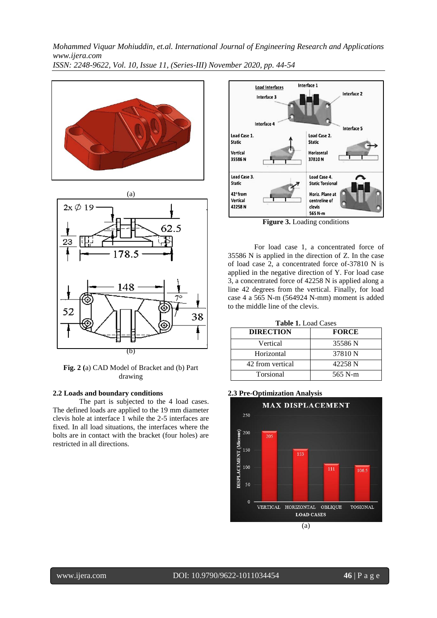



**Fig. 2 (**a) CAD Model of Bracket and (b) Part drawing

#### **2.2 Loads and boundary conditions**

The part is subjected to the 4 load cases. The defined loads are applied to the 19 mm diameter clevis hole at interface 1 while the 2-5 interfaces are fixed. In all load situations, the interfaces where the bolts are in contact with the bracket (four holes) are restricted in all directions.



**Figure 3.** Loading conditions

For load case 1, a concentrated force of 35586 N is applied in the direction of Z. In the case of load case 2, a concentrated force of-37810 N is applied in the negative direction of Y. For load case 3, a concentrated force of 42258 N is applied along a line 42 degrees from the vertical. Finally, for load case 4 a 565 N-m (564924 N-mm) moment is added to the middle line of the clevis.

| <b>DIRECTION</b> | <b>FORCE</b> |
|------------------|--------------|
| Vertical         | 35586 N      |
| Horizontal       | 37810 N      |
| 42 from vertical | 42258 N      |
| Torsional        | 565 N-m      |

#### **2.3 Pre-Optimization Analysis**

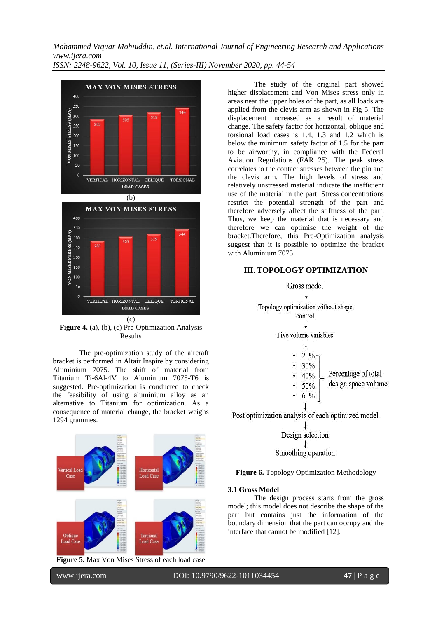**MAX VON MISES STRESS**  $400$ 350 VON MISES STRESS (MPA)  $244$ 300 319  $28$ 250 200  $150$ 100  $50$ VERTICAL HORIZONTAL OBLIQUE TORSIONAL **LOAD CASES** (b) **MAX VON MISES STRESS** 400 350 VON MISES STRESS (MPA) 344  $300$ 319 250 200 150 100 50 VERTICAL HORIZONTAL OBLIQUE TORSIONAL **LOAD CASES** (c)

**Figure 4.** (a), (b), (c) Pre-Optimization Analysis Results

The pre-optimization study of the aircraft bracket is performed in Altair Inspire by considering Aluminium 7075. The shift of material from Titanium Ti-6Al-4V to Aluminium 7075-T6 is suggested. Pre-optimization is conducted to check the feasibility of using aluminium alloy as an alternative to Titanium for optimization. As a consequence of material change, the bracket weighs 1294 grammes.



**Figure 5.** Max Von Mises Stress of each load case

The study of the original part showed higher displacement and Von Mises stress only in areas near the upper holes of the part, as all loads are applied from the clevis arm as shown in Fig 5. The displacement increased as a result of material change. The safety factor for horizontal, oblique and torsional load cases is 1.4, 1.3 and 1.2 which is below the minimum safety factor of 1.5 for the part to be airworthy, in compliance with the Federal Aviation Regulations (FAR 25). The peak stress correlates to the contact stresses between the pin and the clevis arm. The high levels of stress and relatively unstressed material indicate the inefficient use of the material in the part. Stress concentrations restrict the potential strength of the part and therefore adversely affect the stiffness of the part. Thus, we keep the material that is necessary and therefore we can optimise the weight of the bracket.Therefore, this Pre-Optimization analysis suggest that it is possible to optimize the bracket with Aluminium 7075.

## **III. TOPOLOGY OPTIMIZATION**



Post optimization analysis of each optimized model

Design selection Smoothing operation

## **Figure 6.** Topology Optimization Methodology

#### **3.1 Gross Model**

The design process starts from the gross model; this model does not describe the shape of the part but contains just the information of the boundary dimension that the part can occupy and the interface that cannot be modified [12].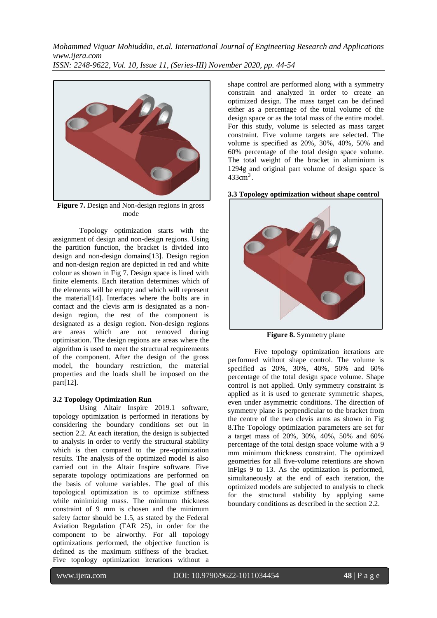

**Figure 7.** Design and Non-design regions in gross mode

Topology optimization starts with the assignment of design and non-design regions. Using the partition function, the bracket is divided into design and non-design domains[13]. Design region and non-design region are depicted in red and white colour as shown in Fig 7. Design space is lined with finite elements. Each iteration determines which of the elements will be empty and which will represent the material[14]. Interfaces where the bolts are in contact and the clevis arm is designated as a nondesign region, the rest of the component is designated as a design region. Non-design regions are areas which are not removed during optimisation. The design regions are areas where the algorithm is used to meet the structural requirements of the component. After the design of the gross model, the boundary restriction, the material properties and the loads shall be imposed on the part[12].

#### **3.2 Topology Optimization Run**

Using Altair Inspire 2019.1 software, topology optimization is performed in iterations by considering the boundary conditions set out in section 2.2. At each iteration, the design is subjected to analysis in order to verify the structural stability which is then compared to the pre-optimization results. The analysis of the optimized model is also carried out in the Altair Inspire software. Five separate topology optimizations are performed on the basis of volume variables. The goal of this topological optimization is to optimize stiffness while minimizing mass. The minimum thickness constraint of 9 mm is chosen and the minimum safety factor should be 1.5, as stated by the Federal Aviation Regulation (FAR 25), in order for the component to be airworthy. For all topology optimizations performed, the objective function is defined as the maximum stiffness of the bracket. Five topology optimization iterations without a

shape control are performed along with a symmetry constrain and analyzed in order to create an optimized design. The mass target can be defined either as a percentage of the total volume of the design space or as the total mass of the entire model. For this study, volume is selected as mass target constraint. Five volume targets are selected. The volume is specified as 20%, 30%, 40%, 50% and 60% percentage of the total design space volume. The total weight of the bracket in aluminium is 1294g and original part volume of design space is  $433$ cm<sup>3</sup>.

**3.3 Topology optimization without shape control**



**Figure 8.** Symmetry plane

Five topology optimization iterations are performed without shape control. The volume is specified as 20%, 30%, 40%, 50% and 60% percentage of the total design space volume. Shape control is not applied. Only symmetry constraint is applied as it is used to generate symmetric shapes, even under asymmetric conditions. The direction of symmetry plane is perpendicular to the bracket from the centre of the two clevis arms as shown in Fig 8.The Topology optimization parameters are set for a target mass of 20%, 30%, 40%, 50% and 60% percentage of the total design space volume with a 9 mm minimum thickness constraint. The optimized geometries for all five-volume retentions are shown inFigs 9 to 13. As the optimization is performed, simultaneously at the end of each iteration, the optimized models are subjected to analysis to check for the structural stability by applying same boundary conditions as described in the section 2.2.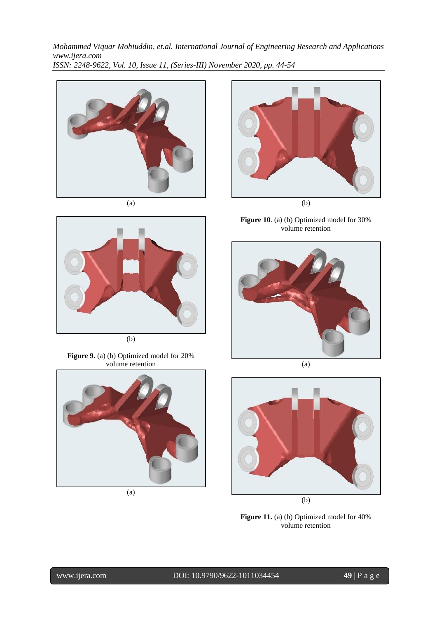

(a)



(b)

**Figure 9.** (a) (b) Optimized model for 20% volume retention



(a)



**Figure 10**. (a) (b) Optimized model for 30%





(a)



(b)

**Figure 11.** (a) (b) Optimized model for 40% volume retention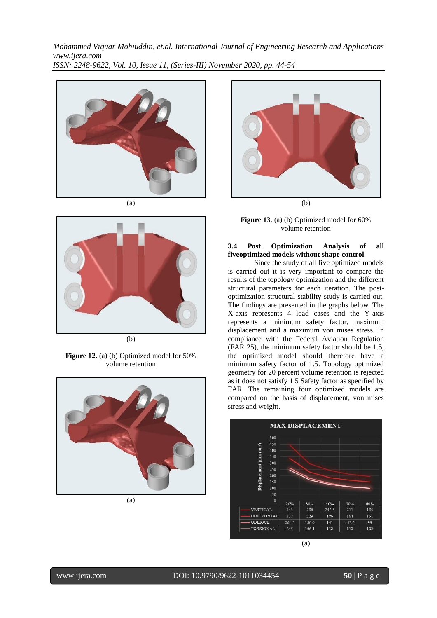

(a)



**Figure 12.** (a) (b) Optimized model for 50% volume retention



(a)



(b)

**Figure 13**. (a) (b) Optimized model for 60% volume retention

## **3.4 Post Optimization Analysis of all fiveoptimized models without shape control**

Since the study of all five optimized models is carried out it is very important to compare the results of the topology optimization and the different structural parameters for each iteration. The postoptimization structural stability study is carried out. The findings are presented in the graphs below. The X-axis represents 4 load cases and the Y-axis represents a minimum safety factor, maximum displacement and a maximum von mises stress. In compliance with the Federal Aviation Regulation (FAR 25), the minimum safety factor should be 1.5, the optimized model should therefore have a minimum safety factor of 1.5. Topology optimized geometry for 20 percent volume retention is rejected as it does not satisfy 1.5 Safety factor as specified by FAR. The remaining four optimized models are compared on the basis of displacement, von mises stress and weight.

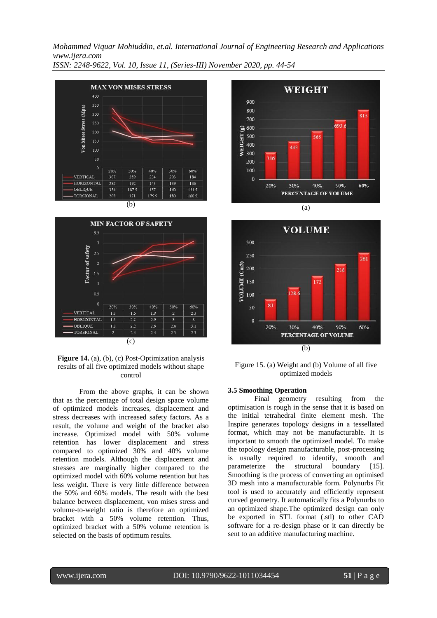



**Figure 14.** (a), (b), (c) Post-Optimization analysis results of all five optimized models without shape control

From the above graphs, it can be shown that as the percentage of total design space volume of optimized models increases, displacement and stress decreases with increased safety factors. As a result, the volume and weight of the bracket also increase. Optimized model with 50% volume retention has lower displacement and stress compared to optimized 30% and 40% volume retention models. Although the displacement and stresses are marginally higher compared to the optimized model with 60% volume retention but has less weight. There is very little difference between the 50% and 60% models. The result with the best balance between displacement, von mises stress and volume-to-weight ratio is therefore an optimized bracket with a 50% volume retention. Thus, optimized bracket with a 50% volume retention is selected on the basis of optimum results.





Figure 15. (a) Weight and (b) Volume of all five optimized models

#### **3.5 Smoothing Operation**

Final geometry resulting from the optimisation is rough in the sense that it is based on the initial tetrahedral finite element mesh. The Inspire generates topology designs in a tessellated format, which may not be manufacturable. It is important to smooth the optimized model. To make the topology design manufacturable, post-processing is usually required to identify, smooth and<br>parameterize the structural boundary [15]. parameterize the structural boundary [15]. Smoothing is the process of converting an optimised 3D mesh into a manufacturable form. Polynurbs Fit tool is used to accurately and efficiently represent curved geometry. It automatically fits a Polynurbs to an optimized shape.The optimized design can only be exported in STL format (.stl) to other CAD software for a re-design phase or it can directly be sent to an additive manufacturing machine.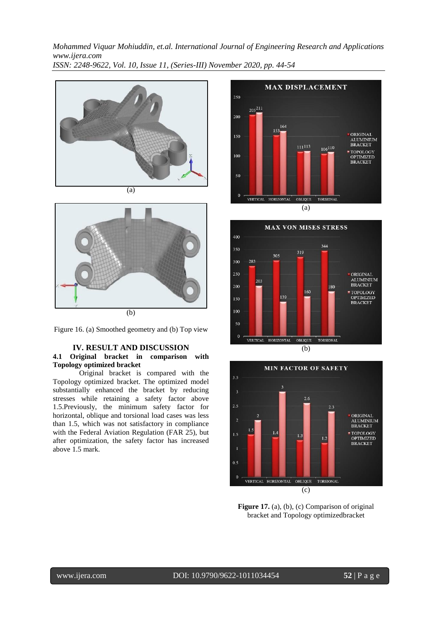





## **IV. RESULT AND DISCUSSION 4.1 Original bracket in comparison with Topology optimized bracket**

Original bracket is compared with the Topology optimized bracket. The optimized model substantially enhanced the bracket by reducing stresses while retaining a safety factor above 1.5.Previously, the minimum safety factor for horizontal, oblique and torsional load cases was less than 1.5, which was not satisfactory in compliance with the Federal Aviation Regulation (FAR 25), but after optimization, the safety factor has increased above 1.5 mark.







**Figure 17.** (a), (b), (c) Comparison of original bracket and Topology optimizedbracket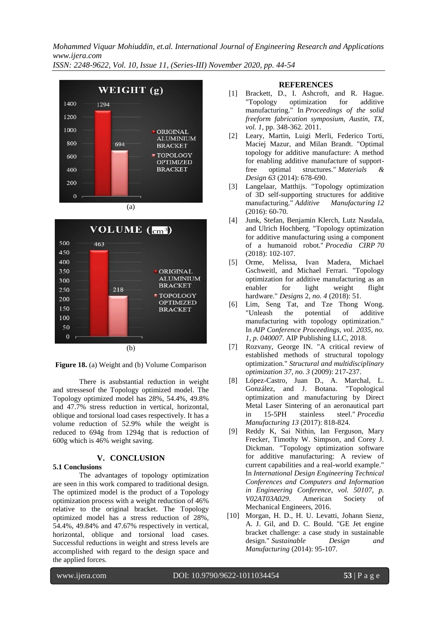*Mohammed Viquar Mohiuddin, et.al. International Journal of Engineering Research and Applications www.ijera.com*

*ISSN: 2248-9622, Vol. 10, Issue 11, (Series-III) November 2020, pp. 44-54*





**Figure 18.** (a) Weight and (b) Volume Comparison

There is asubstantial reduction in weight and stressesof the Topology optimized model. The Topology optimized model has 28%, 54.4%, 49.8% and 47.7% stress reduction in vertical, horizontal, oblique and torsional load cases respectively. It has a volume reduction of 52.9% while the weight is reduced to 694g from 1294g that is reduction of 600g which is 46% weight saving.

## **V. CONCLUSION**

## **5.1 Conclusions**

The advantages of topology optimization are seen in this work compared to traditional design. The optimized model is the product of a Topology optimization process with a weight reduction of 46% relative to the original bracket. The Topology optimized model has a stress reduction of 28%, 54.4%, 49.84% and 47.67% respectively in vertical, horizontal, oblique and torsional load cases. Successful reductions in weight and stress levels are accomplished with regard to the design space and the applied forces.

## **REFERENCES**

- [1] Brackett, D., I. Ashcroft, and R. Hague. "Topology optimization for additive manufacturing." In *Proceedings of the solid freeform fabrication symposium, Austin, TX*, *vol. 1*, pp. 348-362. 2011.
- [2] Leary, Martin, Luigi Merli, Federico Torti, Maciej Mazur, and Milan Brandt. "Optimal topology for additive manufacture: A method for enabling additive manufacture of supportfree optimal structures." *Materials & Design 63* (2014): 678-690.
- [3] Langelaar, Matthijs. "Topology optimization of 3D self-supporting structures for additive manufacturing." *Additive Manufacturing 12* (2016): 60-70.
- [4] Junk, Stefan, Benjamin Klerch, Lutz Nasdala, and Ulrich Hochberg. "Topology optimization for additive manufacturing using a component of a humanoid robot." *Procedia CIRP 70* (2018): 102-107.
- [5] Orme, Melissa, Ivan Madera, Michael Gschweitl, and Michael Ferrari. "Topology optimization for additive manufacturing as an enabler for light weight flight hardware." *Designs* 2, *no. 4* (2018): 51.
- [6] Lim, Seng Tat, and Tze Thong Wong. "Unleash the potential of additive manufacturing with topology optimization." In *AIP Conference Proceedings*, *vol. 2035, no. 1, p. 040007*. AIP Publishing LLC, 2018.
- [7] Rozvany, George IN. "A critical review of established methods of structural topology optimization." *Structural and multidisciplinary optimization 37, no. 3* (2009): 217-237.
- [8] López-Castro, Juan D., A. Marchal, L. González, and J. Botana. "Topological optimization and manufacturing by Direct Metal Laser Sintering of an aeronautical part in 15-5PH stainless steel." *Procedia Manufacturing 13* (2017): 818-824.
- [9] Reddy K, Sai Nithin, Ian Ferguson, Mary Frecker, Timothy W. Simpson, and Corey J. Dickman. "Topology optimization software for additive manufacturing: A review of current capabilities and a real-world example." In *International Design Engineering Technical Conferences and Computers and Information in Engineering Conference*, *vol. 50107, p. V02AT03A029*. American Society of Mechanical Engineers, 2016.
- [10] Morgan, H. D., H. U. Levatti, Johann Sienz, A. J. Gil, and D. C. Bould. "GE Jet engine bracket challenge: a case study in sustainable design." *Sustainable Design and Manufacturing* (2014): 95-107.